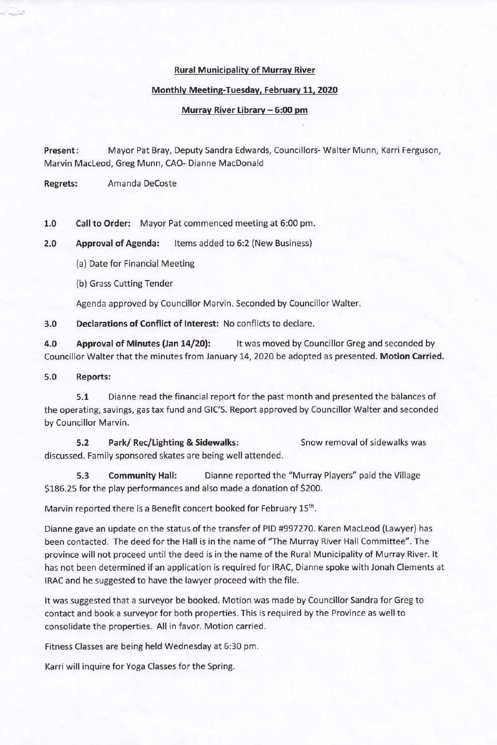### **Rural Municipality of Murray River**

#### Monthly Meeting-Tuesday, February 11, 2020

### Murray River Library - 6:00 pm

Mayor Pat Bray, Deputy Sandra Edwards, Councillors- Walter Munn, Karri Ferguson, Present: Marvin MacLeod, Greg Munn, CAO- Dianne MacDonald

**Regrets:** Amanda DeCoste

 $1.0$ Call to Order: Mayor Pat commenced meeting at 6:00 pm.

 $2.0$ **Approval of Agenda:** Items added to 6:2 (New Business)

(a) Date for Financial Meeting

(b) Grass Cutting Tender

Agenda approved by Councillor Marvin. Seconded by Councillor Walter.

 $3.0$ Declarations of Conflict of Interest: No conflicts to declare.

 $4.0$ Approval of Minutes (Jan 14/20): It was moved by Councillor Greg and seconded by Councillor Walter that the minutes from January 14, 2020 be adopted as presented. Motion Carried.

 $5.0$ **Reports:** 

Dianne read the financial report for the past month and presented the balances of  $5.1$ the operating, savings, gas tax fund and GIC'S. Report approved by Councillor Walter and seconded by Councillor Marvin.

 $5.2$ Park/Rec/Lighting & Sidewalks: Snow removal of sidewalks was discussed. Family sponsored skates are being well attended.

5.3 **Community Hall:** Dianne reported the "Murray Players" paid the Village \$186.25 for the play performances and also made a donation of \$200.

Marvin reported there is a Benefit concert booked for February 15th.

Dianne gave an update on the status of the transfer of PID #997270. Karen MacLeod (Lawyer) has been contacted. The deed for the Hall is in the name of "The Murray River Hall Committee". The province will not proceed until the deed is in the name of the Rural Municipality of Murray River. It has not been determined if an application is required for IRAC, Dianne spoke with Jonah Clements at IRAC and he suggested to have the lawyer proceed with the file.

It was suggested that a surveyor be booked. Motion was made by Councillor Sandra for Greg to contact and book a surveyor for both properties. This is required by the Province as well to consolidate the properties. All in favor, Motion carried.

Fitness Classes are being held Wednesday at 6:30 pm.

Karri will inquire for Yoga Classes for the Spring.